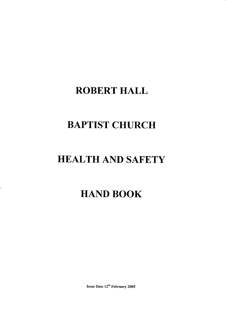# ROBERT HALL

# BAPTIST CHURCH

# HEALTH AND SAFETY

# HAND BOOK

 $\ddot{\phantom{0}}$ 

Issue Date 12<sup>th</sup> February 2005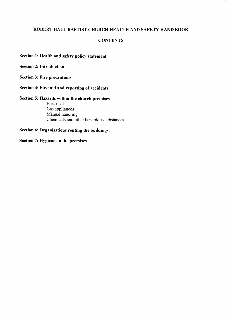#### ROBERT HALL BAPTIST CHURCH HEALTH AND SAFETY HAND BOOK

#### **CONTENTS**

Section 1: Health and safety policy statement.

Section 2: Introduction

Section 3: Fire precautions

Section 4: First aid and reporting of accidents

Section 5: Hazards within the church premises Electrical Gas appliances Manual handling Chemicals and other hazardous substances

Section 6: Organisations renting the buildings.

Section 7: Hygiene on the premises.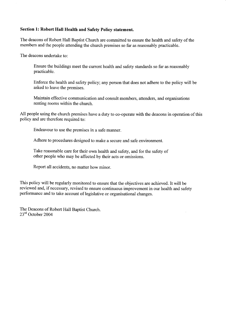### Section 1: Robert Hall Health and Safety Policy statement.

The deacons of Robert Hall Baptist Church are committed to ensure the health and safety of the members and the people attending the church premises so far as reasonably practicable.

The deacons undertake to:

Ensure the buildings meet the current health and safety standards so far as reasonably practicable.

Enforce the health and safety policy; any person that does not adhere to the policy will be asked to leave the premises.

Maintain effective communication and consult members. attenders. and organisations renting rooms within the church.

All people using the church premises have a duty to co-operate with the deacons in operation of this policy and are therefore required to:

Endeavour to use the premises in a safe manner.

Adhere to procedures designed to make a secure and safe environment.

Take reasonable care for their own health and safety, and for the safety of other people who may be affected by their acts or omissions.

Report all accidents, no matter how minor.

This policy will be regularly monitored to ensure that the objectives are achieved. It will be reviewed and, if necessary, revised to ensure continuous improvement in our health and safety performance and to take account of legislative or organisational changes.

The Deacons of Robert Hall Baptist Church. 23<sup>rd</sup> October 2004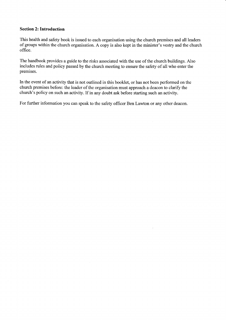#### Section 2: Introduction

This health and safety book is issued to each organisation using the church premises and all leaders of groups within the church organisation. A copy is also kept in the minister's vestry and the church office.

The handbook provides a guide to the risks associated with the use of the church buildings. Also includes rules and policy passed by the church meeting to ensure the safety of all who enter the premises.

In the event of an activity that is not outlined in this booklet, or has not been performed on the church premises before: the leader of the organisation must approach a deacon to clarify the church's policy on such an activity. If in any doubt ask before starting such an activity.

For further information you can speak to the safety officer Ben Lawton or any other deacon.

 $\frac{1}{2}$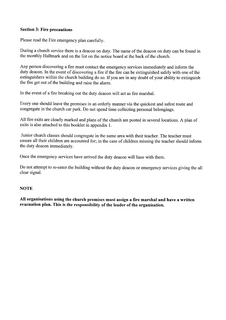### Section 3: Fire precautions

Please read the Fire emergency plan carefully.

During a church service there is a deacon on duty. The name of the deacon on duty can be found in the monthly Hallmark and on the list on the notice board at the back of the chuch.

Any person discovering a fire must contact the emergency services immediately and inform the duty deacon. In the event of discovering a fire if the fire can be extinguished safely with one of the extinguishers within the church building do so. If you are in any doubt of your ability to extinguish the fire get out of the building and raise the alarm.

In the event of a fire breaking out the duty deacon will act as fire marshal.

Every one should leave the premises in an orderly manner via the quickest and safest route and congregate in the church car park. Do not spend time collecting personal belongings.

All fire exits are clearly marked and plans of the church are posted in several locations. A plan of exits is also attached to this booklet in appendix 1.

Junior church classes should congregate in the same area with their teacher. The teacher must ensure all their children are accounted for; in the case of children missing the teacher should inform the duty deacon immediately.

Once the emergency services have arrived the duty deacon will liase with them.

Do not attempt to re-enter the building without the duty deacon or emergency services giving the all clear signal.

#### **NOTE**

AII organisations using the church premises must assign a fire marshal and have a written evacuation plan. This is the responsibilify of the leader of the organisation.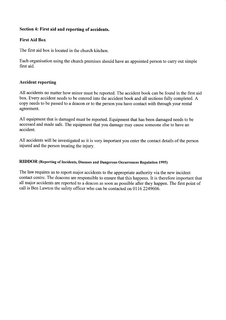### Section 4: First aid and reporting of accidents.

# First Aid Box

The first aid box is located in the church kitchen.

Each organisation using the church premises should have an appointed person to carry out simple first aid.

#### Accident reporting

All accidents no matter how minor must be reported. The accident book can be found in the first aid box. Every accident needs to be entered into the accident book and all sections fully completed. A copy needs to be passed to a deacon or to the person you have contact with through your rental agreement.

All equipment that is damaged must be reported. Equipment that has been damaged needs to be accessed and made safe. The equipment that you damage may cause someone else to have an accident.

All accidents will be investigated so it is very important you enter the contact details of the person injured and the person treating the injury.

#### RIDDOR (Reporting of Incidents, Diseases and Dangerous Occurrences Regulation 1995)

The law requires us to report major accidents to the appropriate authority via the new incident contact centre. The deacons are responsible to ensure that this happens. It is therefore important that all major accidents are reported to a deacon as soon as possible after they happen. The first point of call is Ben Lawton the safety officer who can be contacted on 01162249606.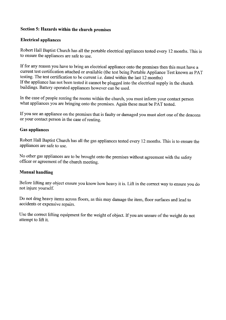# Section 5: Hazards within the church premises

### Electrical appliances

Robert Hall Baptist Church has all the portable electrical appliances tested every 12 months. This is to ensure the appliances are safe to use.

If for any reason you have to bring an electrical appliance onto the premises then this must have a current test certification attached or available (the test being Portable Appliance Test known as PAT testing. The test certification to be current i.e. dated within the last 12 months) If the appliance has not been tested it cannot be plugged into the electrical supply in the church buildings. Battery operated appliances however can be used.

In the case of people renting the rooms within the church, you must inform your contact person what appliances you are bringing onto the premises. Again these must be PAT tested.

If you see an appliance on the premises that is faulty or damaged you must alert one of the deacons or your contact person in the case of renting.

#### Gas appliances

Robert Hall Baptist Church has all the gas appliances tested every 12 months. This is to ensure the appliances are safe to use.

No other gas appliances are to be brought onto the premises without agreement with the safety officer or agreement of the church meeting.

#### Manual handling

Before lifting any object ensure you know how heavy it is. Lift in the correct way to ensure you do not injure yourself.

Do not drag heavy items across floors, as this may damage the item, floor surfaces and lead to accidents or expensive repairs.

Use the correct lifting equipment for the weight of object. If you are unsure of the weight do not attempt to lift it.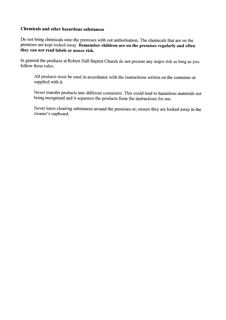# Chemicals and other hazardous substances

Do not bring chemicals onto the premises with out authorisation. The chemicals that are on the premises are kept locked away. Remember children are on the premises regularly and often they can not read labels or assess risk

In general the products at Robert Hall Baptist Church do not present any major risk as long as you follow these rules:

All products must be used in accordance with the instructions written on the container or supplied with it.

Never transfer products into different containers. This could lead to hazardous materials not being recognised and it separates the products from the instructions for use.

Never leave cleaning substances around the premises or; ensure they are locked away in the cleaner's cupboard.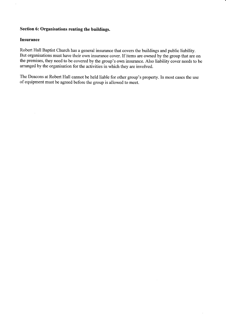# Section 6: Organisations renting the buildings.

#### Insurance

l,

Robert Hall Baptist Church has a general insurance that covers the buildings and public liability. But organisations must have their own insurance cover. If items are owned by the group that are on the premises, they need to be covered by the group's own insurance. Also liability cover needs to be arranged by the organisation for the activities in which they are involved.

The Deacons at Robert Hall cannot be held liable for other group's property. In most cases the use of equipment must be agreed before the group is allowed to meet.